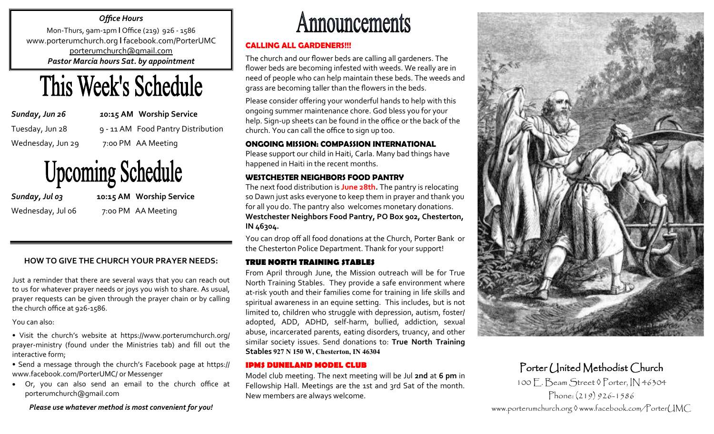#### *Office Hours*

Mon-Thurs, 9am-1pm **l** Office (219) 926 - 1586 www.porterumchurch.org **l** facebook.com/PorterUMC [porterumchurch@gmail.com](mailto:porterumc@frontier.net) *Pastor Marcia hours Sat. by appointment*



*Sunday, Jun 26 1***0:15 AM Worship Service**

Tuesday, Jun 28 9 - 11 AM Food Pantry Distribution Wednesday, Jun 29 7:00 PM AA Meeting

# **Upcoming Schedule**

*Sunday, Jul 03* **10:15 AM Worship Service** Wednesday, Jul 06 7:00 PM AA Meeting

#### **HOW TO GIVE THE CHURCH YOUR PRAYER NEEDS:**

Just a reminder that there are several ways that you can reach out to us for whatever prayer needs or joys you wish to share. As usual, prayer requests can be given through the prayer chain or by calling the church office at 926-1586.

You can also:

• Visit the church's website at https://www.porterumchurch.org/ prayer-ministry (found under the Ministries tab) and fill out the interactive form;

• Send a message through the church's Facebook page at https:// www.facebook.com/PorterUMC/ or Messenger

• Or, you can also send an email to the church office at porterumchurch@gmail.com

*Please use whatever method is most convenient for you!*

## **Announcements**

#### **CALLING ALL GARDENERS!!!**

The church and our flower beds are calling all gardeners. The flower beds are becoming infested with weeds. We really are in need of people who can help maintain these beds. The weeds and grass are becoming taller than the flowers in the beds.

Please consider offering your wonderful hands to help with this ongoing summer maintenance chore. God bless you for your help. Sign-up sheets can be found in the office or the back of the church. You can call the office to sign up too.

#### **ONGOING MISSION: COMPASSION INTERNATIONAL**

Please support our child in Haiti, Carla. Many bad things have happened in Haiti in the recent months.

#### **WESTCHESTER NEIGHBORS FOOD PANTRY**

The next food distribution is **June 28th.** The pantry is relocating so Dawn just asks everyone to keep them in prayer and thank you for all you do. The pantry also welcomes monetary donations. **Westchester Neighbors Food Pantry, PO Box 902, Chesterton, IN 46304.**

You can drop off all food donations at the Church, Porter Bank or the Chesterton Police Department. Thank for your support!

#### **TRUE NORTH TRAINING STABLES**

From April through June, the Mission outreach will be for True North Training Stables. They provide a safe environment where at-risk youth and their families come for training in life skills and spiritual awareness in an equine setting. This includes, but is not limited to, children who struggle with depression, autism, foster/ adopted, ADD, ADHD, self-harm, bullied, addiction, sexual abuse, incarcerated parents, eating disorders, truancy, and other similar society issues. Send donations to: **True North Training Stables 927 N 150 W, Chesterton, IN 46304** 

#### **IPMS DUNELAND MODEL CLUB**

Model club meeting. The next meeting will be Jul **2nd** at **6 pm** in Fellowship Hall. Meetings are the 1st and 3rd Sat of the month. New members are always welcome.



## Porter United Methodist Church

100 E. Beam Street ◊ Porter, IN 46304 Phone: (219) 926-1586

www.porterumchurch.org ◊ www.facebook.com/PorterUMC